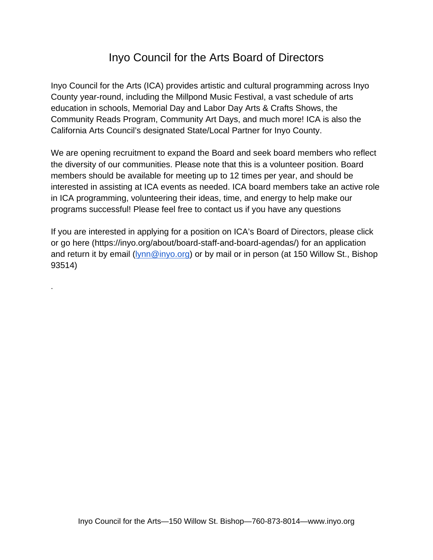## Inyo Council for the Arts Board of Directors

Inyo Council for the Arts (ICA) provides artistic and cultural programming across Inyo County year-round, including the Millpond Music Festival, a vast schedule of arts education in schools, Memorial Day and Labor Day Arts & Crafts Shows, the Community Reads Program, Community Art Days, and much more! ICA is also the California Arts Council's designated State/Local Partner for Inyo County.

We are opening recruitment to expand the Board and seek board members who reflect the diversity of our communities. Please note that this is a volunteer position. Board members should be available for meeting up to 12 times per year, and should be interested in assisting at ICA events as needed. ICA board members take an active role in ICA programming, volunteering their ideas, time, and energy to help make our programs successful! Please feel free to contact us if you have any questions

If you are interested in applying for a position on ICA's Board of Directors, please click or go here (https://inyo.org/about/board-staff-and-board-agendas/) for an application and return it by email (**lynn@inyo.org**) or by mail or in person (at 150 Willow St., Bishop 93514)

.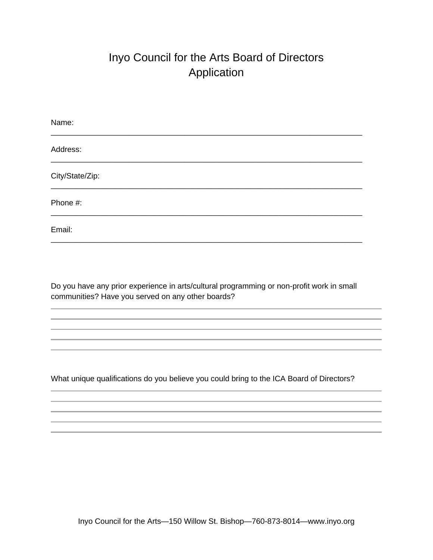## Inyo Council for the Arts Board of Directors Application

| Name:           |
|-----------------|
| Address:        |
| City/State/Zip: |
| Phone #:        |
| Email:          |

Do you have any prior experience in arts/cultural programming or non-profit work in small communities? Have you served on any other boards?

What unique qualifications do you believe you could bring to the ICA Board of Directors?